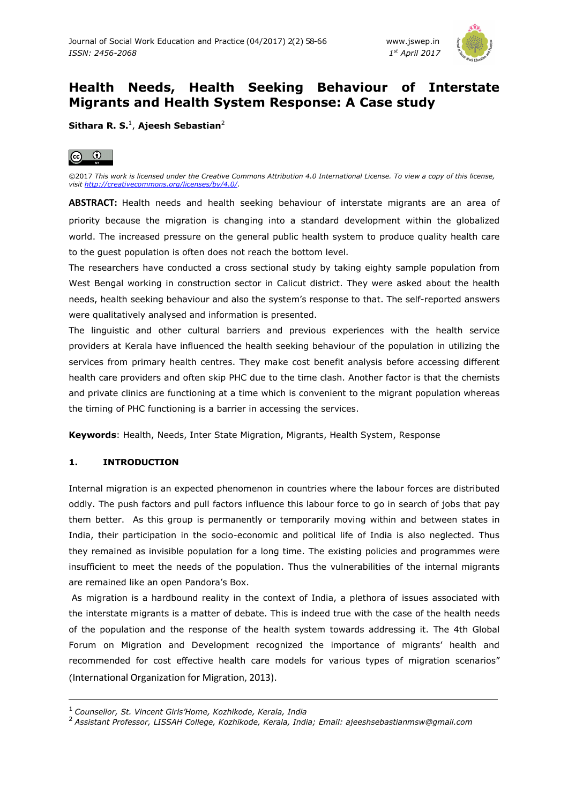

# **Health Needs, Health Seeking Behaviour of Interstate Migrants and Health System Response: A Case study**

**Sithara R. S.**<sup>1</sup> , **Ajeesh Sebastian**<sup>2</sup>



©2017 *This work is licensed under the Creative Commons Attribution 4.0 International License. To view a copy of this license, visit http://creativecommons.org/licenses/by/4.0/.* 

**ABSTRACT:** Health needs and health seeking behaviour of interstate migrants are an area of priority because the migration is changing into a standard development within the globalized world. The increased pressure on the general public health system to produce quality health care to the guest population is often does not reach the bottom level.

The researchers have conducted a cross sectional study by taking eighty sample population from West Bengal working in construction sector in Calicut district. They were asked about the health needs, health seeking behaviour and also the system's response to that. The self-reported answers were qualitatively analysed and information is presented.

The linguistic and other cultural barriers and previous experiences with the health service providers at Kerala have influenced the health seeking behaviour of the population in utilizing the services from primary health centres. They make cost benefit analysis before accessing different health care providers and often skip PHC due to the time clash. Another factor is that the chemists and private clinics are functioning at a time which is convenient to the migrant population whereas the timing of PHC functioning is a barrier in accessing the services.

**Keywords**: Health, Needs, Inter State Migration, Migrants, Health System, Response

# **1. INTRODUCTION**

ı

Internal migration is an expected phenomenon in countries where the labour forces are distributed oddly. The push factors and pull factors influence this labour force to go in search of jobs that pay them better. As this group is permanently or temporarily moving within and between states in India, their participation in the socio-economic and political life of India is also neglected. Thus they remained as invisible population for a long time. The existing policies and programmes were insufficient to meet the needs of the population. Thus the vulnerabilities of the internal migrants are remained like an open Pandora's Box.

 As migration is a hardbound reality in the context of India, a plethora of issues associated with the interstate migrants is a matter of debate. This is indeed true with the case of the health needs of the population and the response of the health system towards addressing it. The 4th Global Forum on Migration and Development recognized the importance of migrants' health and recommended for cost effective health care models for various types of migration scenarios" (International Organization for Migration, 2013).

<sup>1</sup>*Counsellor, St. Vincent Girls'Home, Kozhikode, Kerala, India* 

<sup>2</sup>*Assistant Professor, LISSAH College, Kozhikode, Kerala, India; Email: ajeeshsebastianmsw@gmail.com*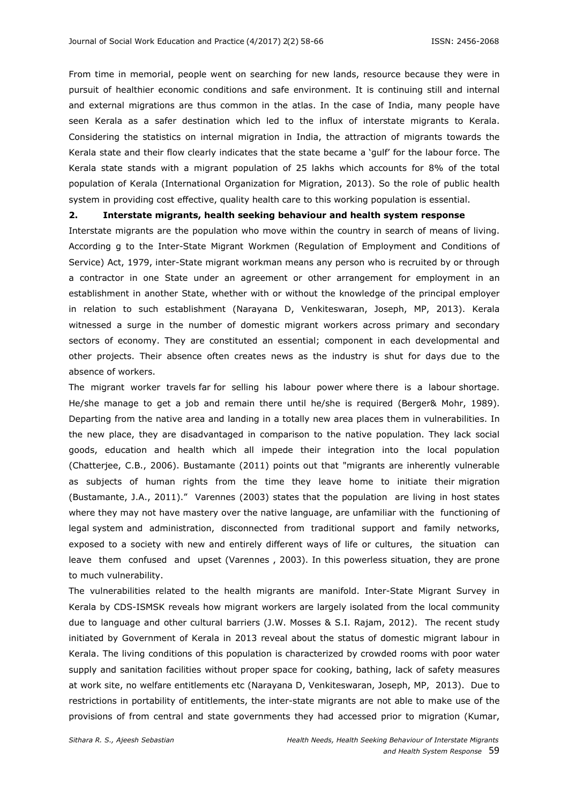From time in memorial, people went on searching for new lands, resource because they were in pursuit of healthier economic conditions and safe environment. It is continuing still and internal and external migrations are thus common in the atlas. In the case of India, many people have seen Kerala as a safer destination which led to the influx of interstate migrants to Kerala. Considering the statistics on internal migration in India, the attraction of migrants towards the Kerala state and their flow clearly indicates that the state became a 'gulf' for the labour force. The Kerala state stands with a migrant population of 25 lakhs which accounts for 8% of the total population of Kerala (International Organization for Migration, 2013). So the role of public health system in providing cost effective, quality health care to this working population is essential.

#### **2. Interstate migrants, health seeking behaviour and health system response**

Interstate migrants are the population who move within the country in search of means of living. According g to the Inter-State Migrant Workmen (Regulation of Employment and Conditions of Service) Act, 1979, inter-State migrant workman means any person who is recruited by or through a contractor in one State under an agreement or other arrangement for employment in an establishment in another State, whether with or without the knowledge of the principal employer in relation to such establishment (Narayana D, Venkiteswaran, Joseph, MP, 2013). Kerala witnessed a surge in the number of domestic migrant workers across primary and secondary sectors of economy. They are constituted an essential; component in each developmental and other projects. Their absence often creates news as the industry is shut for days due to the absence of workers.

The migrant worker travels far for selling his labour power where there is a labour shortage. He/she manage to get a job and remain there until he/she is required (Berger& Mohr, 1989). Departing from the native area and landing in a totally new area places them in vulnerabilities. In the new place, they are disadvantaged in comparison to the native population. They lack social goods, education and health which all impede their integration into the local population (Chatterjee, C.B., 2006). Bustamante (2011) points out that "migrants are inherently vulnerable as subjects of human rights from the time they leave home to initiate their migration (Bustamante, J.A., 2011)." Varennes (2003) states that the population are living in host states where they may not have mastery over the native language, are unfamiliar with the functioning of legal system and administration, disconnected from traditional support and family networks, exposed to a society with new and entirely different ways of life or cultures, the situation can leave them confused and upset (Varennes , 2003). In this powerless situation, they are prone to much vulnerability.

The vulnerabilities related to the health migrants are manifold. Inter-State Migrant Survey in Kerala by CDS-ISMSK reveals how migrant workers are largely isolated from the local community due to language and other cultural barriers (J.W. Mosses & S.I. Rajam, 2012). The recent study initiated by Government of Kerala in 2013 reveal about the status of domestic migrant labour in Kerala. The living conditions of this population is characterized by crowded rooms with poor water supply and sanitation facilities without proper space for cooking, bathing, lack of safety measures at work site, no welfare entitlements etc (Narayana D, Venkiteswaran, Joseph, MP, 2013). Due to restrictions in portability of entitlements, the inter-state migrants are not able to make use of the provisions of from central and state governments they had accessed prior to migration (Kumar,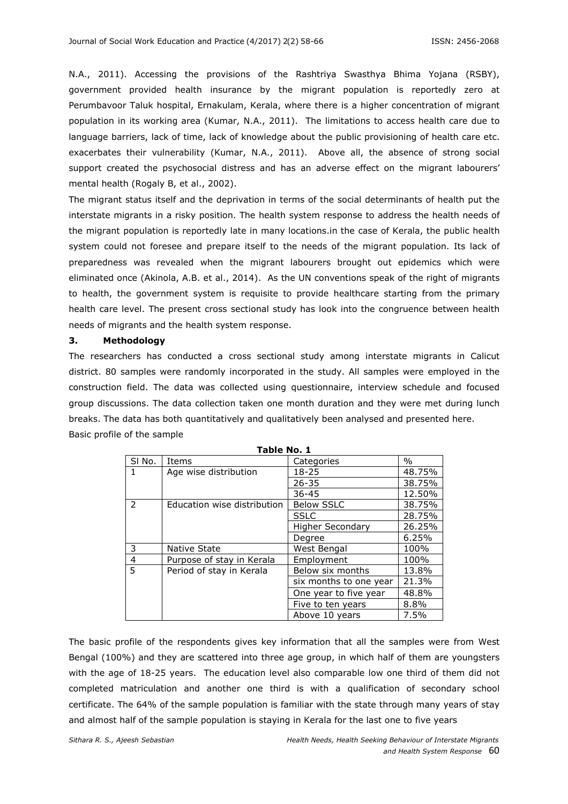N.A., 2011). Accessing the provisions of the Rashtriya Swasthya Bhima Yojana (RSBY), government provided health insurance by the migrant population is reportedly zero at Perumbavoor Taluk hospital, Ernakulam, Kerala, where there is a higher concentration of migrant population in its working area (Kumar, N.A., 2011). The limitations to access health care due to language barriers, lack of time, lack of knowledge about the public provisioning of health care etc. exacerbates their vulnerability (Kumar, N.A., 2011). Above all, the absence of strong social support created the psychosocial distress and has an adverse effect on the migrant labourers' mental health (Rogaly B, et al., 2002).

The migrant status itself and the deprivation in terms of the social determinants of health put the interstate migrants in a risky position. The health system response to address the health needs of the migrant population is reportedly late in many locations.in the case of Kerala, the public health system could not foresee and prepare itself to the needs of the migrant population. Its lack of preparedness was revealed when the migrant labourers brought out epidemics which were eliminated once (Akinola, A.B. et al., 2014). As the UN conventions speak of the right of migrants to health, the government system is requisite to provide healthcare starting from the primary health care level. The present cross sectional study has look into the congruence between health needs of migrants and the health system response.

### **3. Methodology**

The researchers has conducted a cross sectional study among interstate migrants in Calicut district. 80 samples were randomly incorporated in the study. All samples were employed in the construction field. The data was collected using questionnaire, interview schedule and focused group discussions. The data collection taken one month duration and they were met during lunch breaks. The data has both quantitatively and qualitatively been analysed and presented here. Basic profile of the sample

| ב וספר שטוב    |                             |                        |        |  |
|----------------|-----------------------------|------------------------|--------|--|
| SI No.         | Items                       | Categories             | $\%$   |  |
|                | Age wise distribution       | 18-25                  | 48.75% |  |
|                |                             | $26 - 35$              | 38.75% |  |
|                |                             | $36 - 45$              | 12.50% |  |
| $\mathcal{L}$  | Education wise distribution | <b>Below SSLC</b>      | 38.75% |  |
|                |                             | <b>SSLC</b>            | 28.75% |  |
|                |                             | Higher Secondary       | 26.25% |  |
|                |                             | Degree                 | 6.25%  |  |
| 3              | Native State                | West Bengal            | 100%   |  |
| $\overline{4}$ | Purpose of stay in Kerala   | Employment             | 100%   |  |
| -5             | Period of stay in Kerala    | Below six months       | 13.8%  |  |
|                |                             | six months to one year | 21.3%  |  |
|                |                             | One year to five year  | 48.8%  |  |
|                |                             | Five to ten years      | 8.8%   |  |
|                |                             | Above 10 years         | 7.5%   |  |

**Table No. 1** 

The basic profile of the respondents gives key information that all the samples were from West Bengal (100%) and they are scattered into three age group, in which half of them are youngsters with the age of 18-25 years. The education level also comparable low one third of them did not completed matriculation and another one third is with a qualification of secondary school certificate. The 64% of the sample population is familiar with the state through many years of stay and almost half of the sample population is staying in Kerala for the last one to five years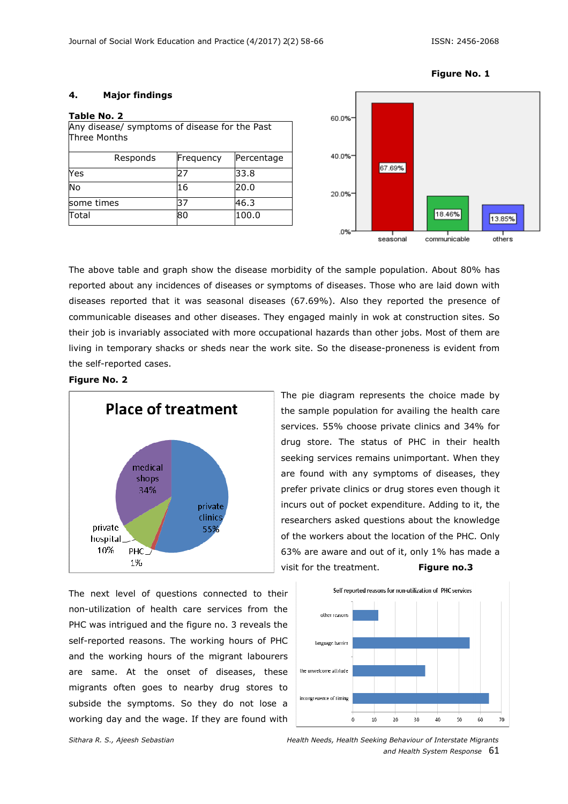### **4. Major findings**

| Table No. 2                                                   |           |            |  |  |
|---------------------------------------------------------------|-----------|------------|--|--|
| Any disease/ symptoms of disease for the Past<br>Three Months |           |            |  |  |
| Responds                                                      | Frequency | Percentage |  |  |
| Yes                                                           | 27        | 33.8       |  |  |
| No                                                            | 16        | 20.0       |  |  |
| some times                                                    | 37        | 46.3       |  |  |
| Total                                                         | 80        | 100.0      |  |  |



The above table and graph show the disease morbidity of the sample population. About 80% has reported about any incidences of diseases or symptoms of diseases. Those who are laid down with diseases reported that it was seasonal diseases (67.69%). Also they reported the presence of communicable diseases and other diseases. They engaged mainly in wok at construction sites. So their job is invariably associated with more occupational hazards than other jobs. Most of them are living in temporary shacks or sheds near the work site. So the disease-proneness is evident from the self-reported cases.

#### **Figure No. 2**



the sample population for availing the health care services. 55% choose private clinics and 34% for drug store. The status of PHC in their health seeking services remains unimportant. When they are found with any symptoms of diseases, they prefer private clinics or drug stores even though it incurs out of pocket expenditure. Adding to it, the researchers asked questions about the knowledge of the workers about the location of the PHC. Only 63% are aware and out of it, only 1% has made a visit for the treatment. **Figure no.3**

The pie diagram represents the choice made by

The next level of questions connected to their non-utilization of health care services from the PHC was intrigued and the figure no. 3 reveals the self-reported reasons. The working hours of PHC and the working hours of the migrant labourers are same. At the onset of diseases, these migrants often goes to nearby drug stores to subside the symptoms. So they do not lose a working day and the wage. If they are found with



# **Figure No. 1**

*Sithara R. S., Ajeesh Sebastian Health Needs, Health Seeking Behaviour of Interstate Migrants and Health System Response* 61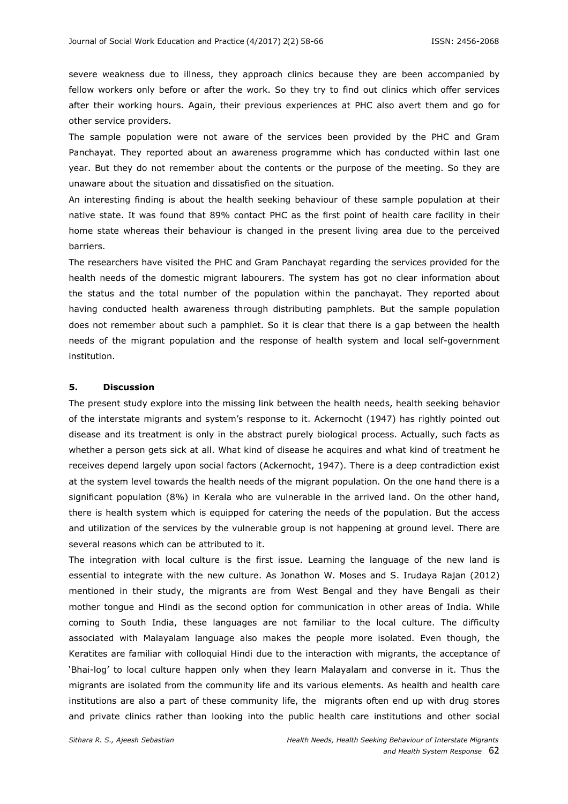severe weakness due to illness, they approach clinics because they are been accompanied by fellow workers only before or after the work. So they try to find out clinics which offer services after their working hours. Again, their previous experiences at PHC also avert them and go for other service providers.

The sample population were not aware of the services been provided by the PHC and Gram Panchayat. They reported about an awareness programme which has conducted within last one year. But they do not remember about the contents or the purpose of the meeting. So they are unaware about the situation and dissatisfied on the situation.

An interesting finding is about the health seeking behaviour of these sample population at their native state. It was found that 89% contact PHC as the first point of health care facility in their home state whereas their behaviour is changed in the present living area due to the perceived barriers.

The researchers have visited the PHC and Gram Panchayat regarding the services provided for the health needs of the domestic migrant labourers. The system has got no clear information about the status and the total number of the population within the panchayat. They reported about having conducted health awareness through distributing pamphlets. But the sample population does not remember about such a pamphlet. So it is clear that there is a gap between the health needs of the migrant population and the response of health system and local self-government institution.

#### **5. Discussion**

The present study explore into the missing link between the health needs, health seeking behavior of the interstate migrants and system's response to it. Ackernocht (1947) has rightly pointed out disease and its treatment is only in the abstract purely biological process. Actually, such facts as whether a person gets sick at all. What kind of disease he acquires and what kind of treatment he receives depend largely upon social factors (Ackernocht, 1947). There is a deep contradiction exist at the system level towards the health needs of the migrant population. On the one hand there is a significant population (8%) in Kerala who are vulnerable in the arrived land. On the other hand, there is health system which is equipped for catering the needs of the population. But the access and utilization of the services by the vulnerable group is not happening at ground level. There are several reasons which can be attributed to it.

The integration with local culture is the first issue. Learning the language of the new land is essential to integrate with the new culture. As Jonathon W. Moses and S. Irudaya Rajan (2012) mentioned in their study, the migrants are from West Bengal and they have Bengali as their mother tongue and Hindi as the second option for communication in other areas of India. While coming to South India, these languages are not familiar to the local culture. The difficulty associated with Malayalam language also makes the people more isolated. Even though, the Keratites are familiar with colloquial Hindi due to the interaction with migrants, the acceptance of 'Bhai-log' to local culture happen only when they learn Malayalam and converse in it. Thus the migrants are isolated from the community life and its various elements. As health and health care institutions are also a part of these community life, the migrants often end up with drug stores and private clinics rather than looking into the public health care institutions and other social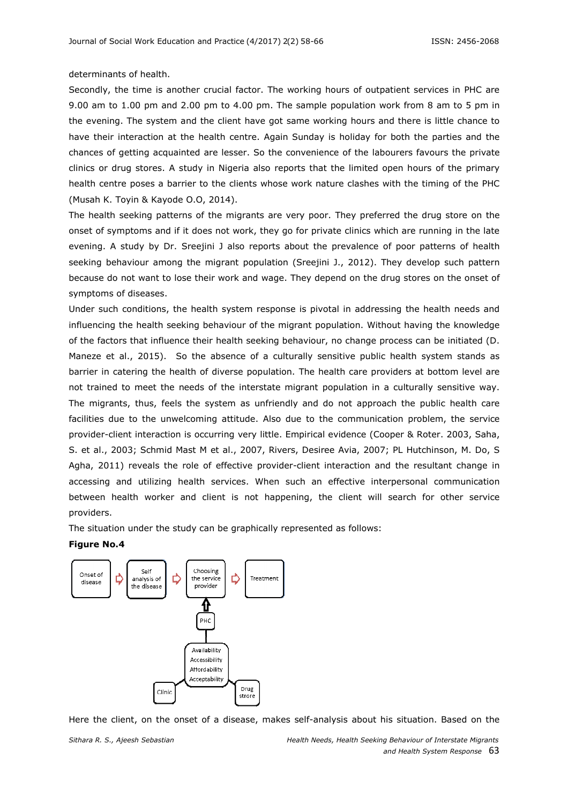#### determinants of health.

Secondly, the time is another crucial factor. The working hours of outpatient services in PHC are 9.00 am to 1.00 pm and 2.00 pm to 4.00 pm. The sample population work from 8 am to 5 pm in the evening. The system and the client have got same working hours and there is little chance to have their interaction at the health centre. Again Sunday is holiday for both the parties and the chances of getting acquainted are lesser. So the convenience of the labourers favours the private clinics or drug stores. A study in Nigeria also reports that the limited open hours of the primary health centre poses a barrier to the clients whose work nature clashes with the timing of the PHC (Musah K. Toyin & Kayode O.O, 2014).

The health seeking patterns of the migrants are very poor. They preferred the drug store on the onset of symptoms and if it does not work, they go for private clinics which are running in the late evening. A study by Dr. Sreejini J also reports about the prevalence of poor patterns of health seeking behaviour among the migrant population (Sreejini J., 2012). They develop such pattern because do not want to lose their work and wage. They depend on the drug stores on the onset of symptoms of diseases.

Under such conditions, the health system response is pivotal in addressing the health needs and influencing the health seeking behaviour of the migrant population. Without having the knowledge of the factors that influence their health seeking behaviour, no change process can be initiated (D. Maneze et al., 2015). So the absence of a culturally sensitive public health system stands as barrier in catering the health of diverse population. The health care providers at bottom level are not trained to meet the needs of the interstate migrant population in a culturally sensitive way. The migrants, thus, feels the system as unfriendly and do not approach the public health care facilities due to the unwelcoming attitude. Also due to the communication problem, the service provider-client interaction is occurring very little. Empirical evidence (Cooper & Roter. 2003, Saha, S. et al., 2003; Schmid Mast M et al., 2007, Rivers, Desiree Avia, 2007; PL Hutchinson, M. Do, S Agha, 2011) reveals the role of effective provider-client interaction and the resultant change in accessing and utilizing health services. When such an effective interpersonal communication between health worker and client is not happening, the client will search for other service providers.

The situation under the study can be graphically represented as follows:

#### **Figure No.4**



Here the client, on the onset of a disease, makes self-analysis about his situation. Based on the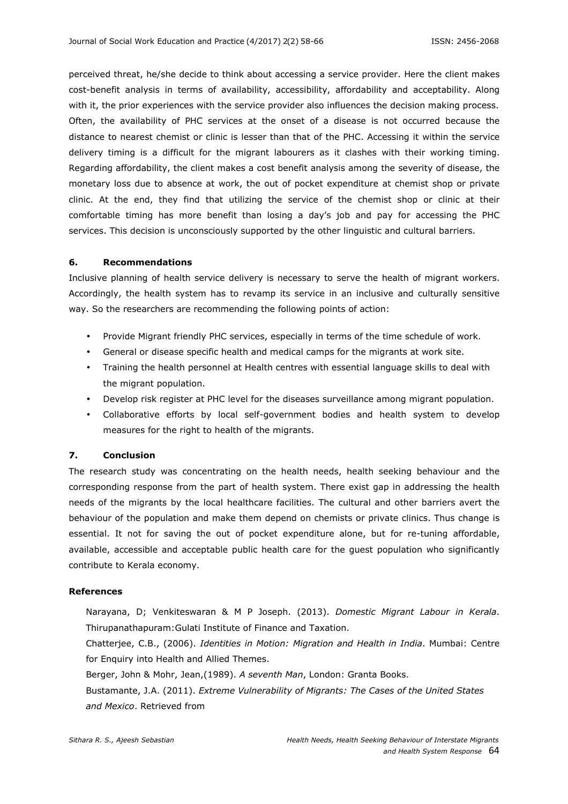perceived threat, he/she decide to think about accessing a service provider. Here the client makes cost-benefit analysis in terms of availability, accessibility, affordability and acceptability. Along with it, the prior experiences with the service provider also influences the decision making process. Often, the availability of PHC services at the onset of a disease is not occurred because the distance to nearest chemist or clinic is lesser than that of the PHC. Accessing it within the service delivery timing is a difficult for the migrant labourers as it clashes with their working timing. Regarding affordability, the client makes a cost benefit analysis among the severity of disease, the monetary loss due to absence at work, the out of pocket expenditure at chemist shop or private clinic. At the end, they find that utilizing the service of the chemist shop or clinic at their comfortable timing has more benefit than losing a day's job and pay for accessing the PHC services. This decision is unconsciously supported by the other linguistic and cultural barriers.

### **6. Recommendations**

Inclusive planning of health service delivery is necessary to serve the health of migrant workers. Accordingly, the health system has to revamp its service in an inclusive and culturally sensitive way. So the researchers are recommending the following points of action:

- Provide Migrant friendly PHC services, especially in terms of the time schedule of work.
- General or disease specific health and medical camps for the migrants at work site.
- Training the health personnel at Health centres with essential language skills to deal with the migrant population.
- Develop risk register at PHC level for the diseases surveillance among migrant population.
- Collaborative efforts by local self-government bodies and health system to develop measures for the right to health of the migrants.

# **7. Conclusion**

The research study was concentrating on the health needs, health seeking behaviour and the corresponding response from the part of health system. There exist gap in addressing the health needs of the migrants by the local healthcare facilities. The cultural and other barriers avert the behaviour of the population and make them depend on chemists or private clinics. Thus change is essential. It not for saving the out of pocket expenditure alone, but for re-tuning affordable, available, accessible and acceptable public health care for the guest population who significantly contribute to Kerala economy.

### **References**

Narayana, D; Venkiteswaran & M P Joseph. (2013). *Domestic Migrant Labour in Kerala*. Thirupanathapuram:Gulati Institute of Finance and Taxation.

Chatterjee, C.B., (2006). *Identities in Motion: Migration and Health in India*. Mumbai: Centre for Enquiry into Health and Allied Themes.

Berger, John & Mohr, Jean,(1989). *A seventh Man*, London: Granta Books.

Bustamante, J.A. (2011). *Extreme Vulnerability of Migrants: The Cases of the United States and Mexico*. Retrieved from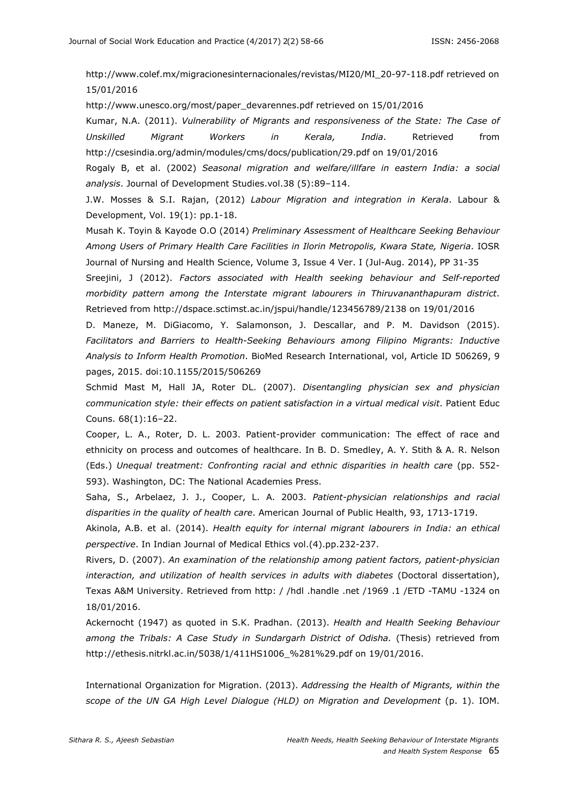http://www.colef.mx/migracionesinternacionales/revistas/MI20/MI\_20-97-118.pdf retrieved on 15/01/2016

http://www.unesco.org/most/paper\_devarennes.pdf retrieved on 15/01/2016

Kumar, N.A. (2011). *Vulnerability of Migrants and responsiveness of the State: The Case of Unskilled Migrant Workers in Kerala, India*. Retrieved from http://csesindia.org/admin/modules/cms/docs/publication/29.pdf on 19/01/2016

Rogaly B, et al. (2002) *Seasonal migration and welfare/illfare in eastern India: a social analysis*. Journal of Development Studies.vol.38 (5):89–114.

J.W. Mosses & S.I. Rajan, (2012) *Labour Migration and integration in Kerala*. Labour & Development, Vol. 19(1): pp.1-18.

Musah K. Toyin & Kayode O.O (2014) *Preliminary Assessment of Healthcare Seeking Behaviour Among Users of Primary Health Care Facilities in Ilorin Metropolis, Kwara State, Nigeria*. IOSR Journal of Nursing and Health Science, Volume 3, Issue 4 Ver. I (Jul-Aug. 2014), PP 31-35

Sreejini, J (2012). *Factors associated with Health seeking behaviour and Self-reported morbidity pattern among the Interstate migrant labourers in Thiruvananthapuram district*. Retrieved from http://dspace.sctimst.ac.in/jspui/handle/123456789/2138 on 19/01/2016

D. Maneze, M. DiGiacomo, Y. Salamonson, J. Descallar, and P. M. Davidson (2015). *Facilitators and Barriers to Health-Seeking Behaviours among Filipino Migrants: Inductive Analysis to Inform Health Promotion*. BioMed Research International, vol, Article ID 506269, 9 pages, 2015. doi:10.1155/2015/506269

Schmid Mast M, Hall JA, Roter DL. (2007). *Disentangling physician sex and physician communication style: their effects on patient satisfaction in a virtual medical visit*. Patient Educ Couns. 68(1):16–22.

Cooper, L. A., Roter, D. L. 2003. Patient-provider communication: The effect of race and ethnicity on process and outcomes of healthcare. In B. D. Smedley, A. Y. Stith & A. R. Nelson (Eds.) *Unequal treatment: Confronting racial and ethnic disparities in health care* (pp. 552- 593). Washington, DC: The National Academies Press.

Saha, S., Arbelaez, J. J., Cooper, L. A. 2003. *Patient-physician relationships and racial disparities in the quality of health care*. American Journal of Public Health, 93, 1713-1719.

Akinola, A.B. et al. (2014). *Health equity for internal migrant labourers in India: an ethical perspective*. In Indian Journal of Medical Ethics vol.(4).pp.232-237.

Rivers, D. (2007). *An examination of the relationship among patient factors, patient-physician interaction, and utilization of health services in adults with diabetes* (Doctoral dissertation), Texas A&M University. Retrieved from http: / /hdl .handle .net /1969 .1 /ETD -TAMU -1324 on 18/01/2016.

Ackernocht (1947) as quoted in S.K. Pradhan. (2013). *Health and Health Seeking Behaviour among the Tribals: A Case Study in Sundargarh District of Odisha.* (Thesis) retrieved from http://ethesis.nitrkl.ac.in/5038/1/411HS1006\_%281%29.pdf on 19/01/2016.

International Organization for Migration. (2013). *Addressing the Health of Migrants, within the scope of the UN GA High Level Dialogue (HLD) on Migration and Development* (p. 1). IOM.